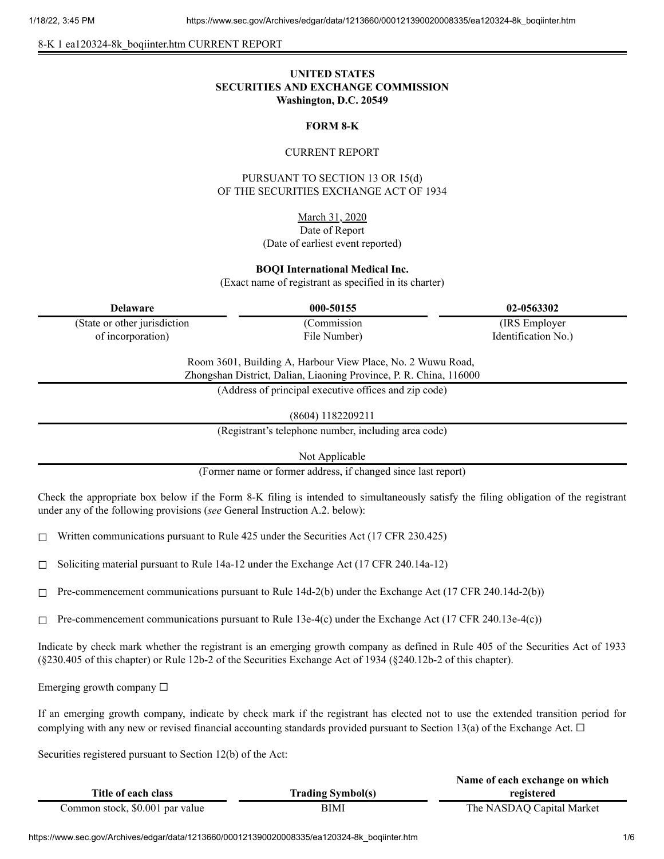8-K 1 ea120324-8k\_boqiinter.htm CURRENT REPORT

# **UNITED STATES SECURITIES AND EXCHANGE COMMISSION Washington, D.C. 20549**

### **FORM 8-K**

#### CURRENT REPORT

PURSUANT TO SECTION 13 OR 15(d) OF THE SECURITIES EXCHANGE ACT OF 1934

> March 31, 2020 Date of Report

(Date of earliest event reported)

#### **BOQI International Medical Inc.**

(Exact name of registrant as specified in its charter)

(State or other jurisdiction of incorporation)

(Commission

**Delaware 000-50155 02-0563302** (IRS Employer Identification No.)

> Room 3601, Building A, Harbour View Place, No. 2 Wuwu Road, Zhongshan District, Dalian, Liaoning Province, P. R. China, 116000

File Number)

(Address of principal executive offices and zip code)

(8604) 1182209211

(Registrant's telephone number, including area code)

Not Applicable

(Former name or former address, if changed since last report)

Check the appropriate box below if the Form 8-K filing is intended to simultaneously satisfy the filing obligation of the registrant under any of the following provisions (*see* General Instruction A.2. below):

 $\Box$  Written communications pursuant to Rule 425 under the Securities Act (17 CFR 230.425)

 $\Box$  Soliciting material pursuant to Rule 14a-12 under the Exchange Act (17 CFR 240.14a-12)

 $\Box$  Pre-commencement communications pursuant to Rule 14d-2(b) under the Exchange Act (17 CFR 240.14d-2(b))

 $\Box$  Pre-commencement communications pursuant to Rule 13e-4(c) under the Exchange Act (17 CFR 240.13e-4(c))

Indicate by check mark whether the registrant is an emerging growth company as defined in Rule 405 of the Securities Act of 1933 (§230.405 of this chapter) or Rule 12b-2 of the Securities Exchange Act of 1934 (§240.12b-2 of this chapter).

Emerging growth company  $\Box$ 

If an emerging growth company, indicate by check mark if the registrant has elected not to use the extended transition period for complying with any new or revised financial accounting standards provided pursuant to Section 13(a) of the Exchange Act.  $\Box$ 

Securities registered pursuant to Section 12(b) of the Act:

|                                 |                          | Name of each exchange on which |
|---------------------------------|--------------------------|--------------------------------|
| Title of each class             | <b>Trading Symbol(s)</b> | registered                     |
| Common stock, \$0.001 par value | BIMI                     | The NASDAQ Capital Market      |

https://www.sec.gov/Archives/edgar/data/1213660/000121390020008335/ea120324-8k\_boqiinter.htm 1/6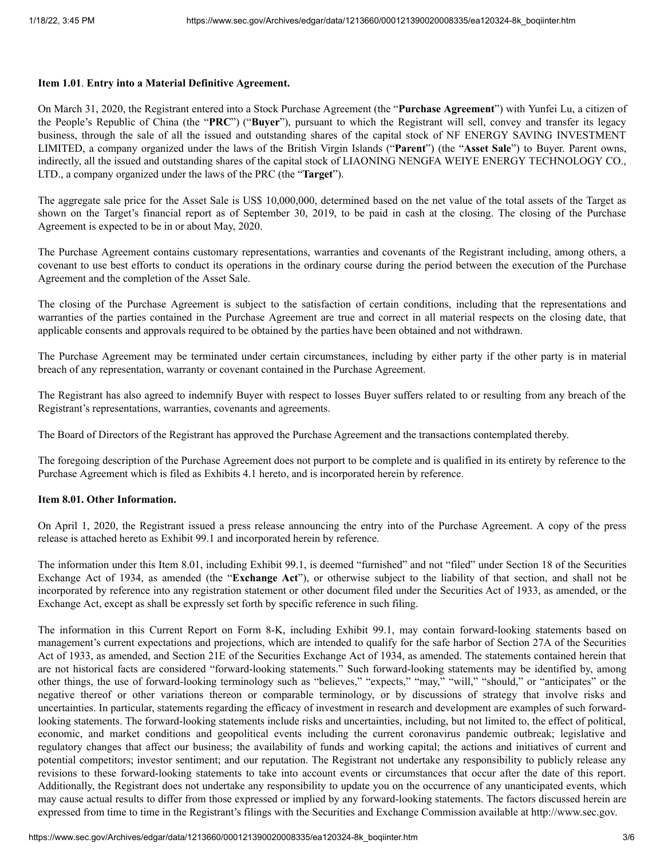### **Item 1.01**. **Entry into a Material Definitive Agreement.**

On March 31, 2020, the Registrant entered into a Stock Purchase Agreement (the "**Purchase Agreement**") with Yunfei Lu, a citizen of the People's Republic of China (the "**PRC**") ("**Buyer**"), pursuant to which the Registrant will sell, convey and transfer its legacy business, through the sale of all the issued and outstanding shares of the capital stock of NF ENERGY SAVING INVESTMENT LIMITED, a company organized under the laws of the British Virgin Islands ("**Parent**") (the "**Asset Sale**") to Buyer. Parent owns, indirectly, all the issued and outstanding shares of the capital stock of LIAONING NENGFA WEIYE ENERGY TECHNOLOGY CO., LTD., a company organized under the laws of the PRC (the "**Target**").

The aggregate sale price for the Asset Sale is US\$ 10,000,000, determined based on the net value of the total assets of the Target as shown on the Target's financial report as of September 30, 2019, to be paid in cash at the closing. The closing of the Purchase Agreement is expected to be in or about May, 2020.

The Purchase Agreement contains customary representations, warranties and covenants of the Registrant including, among others, a covenant to use best efforts to conduct its operations in the ordinary course during the period between the execution of the Purchase Agreement and the completion of the Asset Sale.

The closing of the Purchase Agreement is subject to the satisfaction of certain conditions, including that the representations and warranties of the parties contained in the Purchase Agreement are true and correct in all material respects on the closing date, that applicable consents and approvals required to be obtained by the parties have been obtained and not withdrawn.

The Purchase Agreement may be terminated under certain circumstances, including by either party if the other party is in material breach of any representation, warranty or covenant contained in the Purchase Agreement.

The Registrant has also agreed to indemnify Buyer with respect to losses Buyer suffers related to or resulting from any breach of the Registrant's representations, warranties, covenants and agreements.

The Board of Directors of the Registrant has approved the Purchase Agreement and the transactions contemplated thereby.

The foregoing description of the Purchase Agreement does not purport to be complete and is qualified in its entirety by reference to the Purchase Agreement which is filed as Exhibits 4.1 hereto, and is incorporated herein by reference.

### **Item 8.01. Other Information.**

On April 1, 2020, the Registrant issued a press release announcing the entry into of the Purchase Agreement. A copy of the press release is attached hereto as Exhibit 99.1 and incorporated herein by reference.

The information under this Item 8.01, including Exhibit 99.1, is deemed "furnished" and not "filed" under Section 18 of the Securities Exchange Act of 1934, as amended (the "**Exchange Act**"), or otherwise subject to the liability of that section, and shall not be incorporated by reference into any registration statement or other document filed under the Securities Act of 1933, as amended, or the Exchange Act, except as shall be expressly set forth by specific reference in such filing.

The information in this Current Report on Form 8-K, including Exhibit 99.1, may contain forward-looking statements based on management's current expectations and projections, which are intended to qualify for the safe harbor of Section 27A of the Securities Act of 1933, as amended, and Section 21E of the Securities Exchange Act of 1934, as amended. The statements contained herein that are not historical facts are considered "forward-looking statements." Such forward-looking statements may be identified by, among other things, the use of forward-looking terminology such as "believes," "expects," "may," "will," "should," or "anticipates" or the negative thereof or other variations thereon or comparable terminology, or by discussions of strategy that involve risks and uncertainties. In particular, statements regarding the efficacy of investment in research and development are examples of such forwardlooking statements. The forward-looking statements include risks and uncertainties, including, but not limited to, the effect of political, economic, and market conditions and geopolitical events including the current coronavirus pandemic outbreak; legislative and regulatory changes that affect our business; the availability of funds and working capital; the actions and initiatives of current and potential competitors; investor sentiment; and our reputation. The Registrant not undertake any responsibility to publicly release any revisions to these forward-looking statements to take into account events or circumstances that occur after the date of this report. Additionally, the Registrant does not undertake any responsibility to update you on the occurrence of any unanticipated events, which may cause actual results to differ from those expressed or implied by any forward-looking statements. The factors discussed herein are expressed from time to time in the Registrant's filings with the Securities and Exchange Commission available at http://www.sec.gov.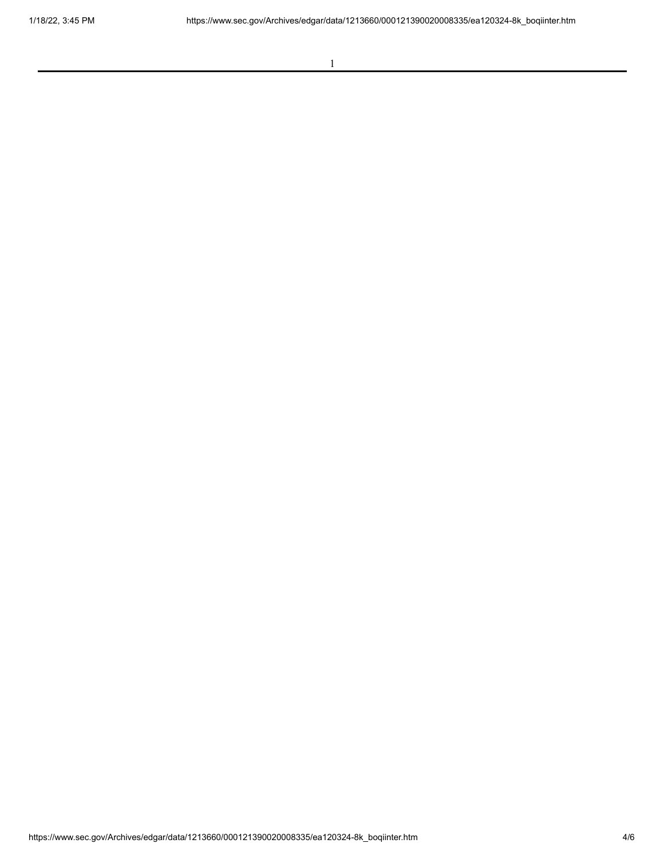1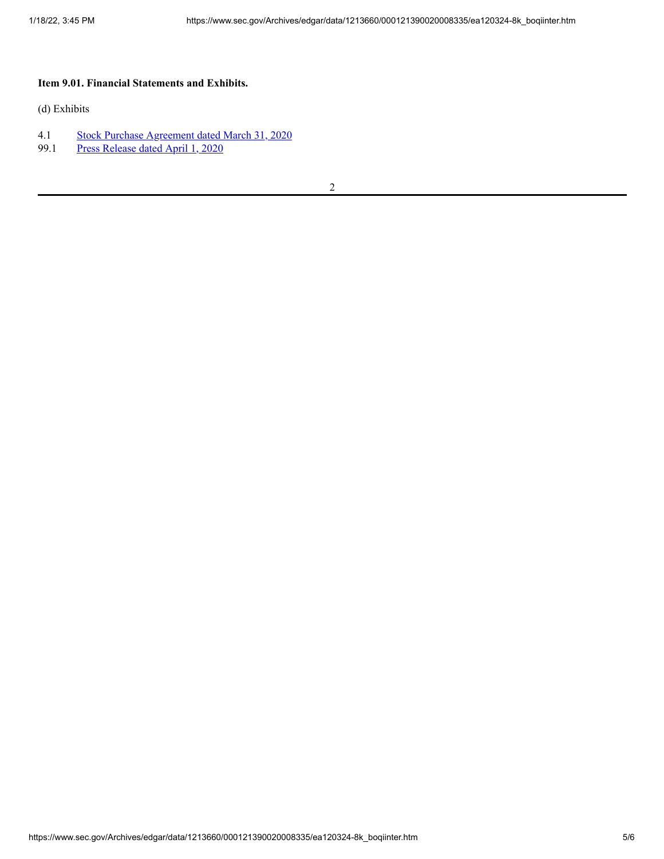## **Item 9.01. Financial Statements and Exhibits.**

(d) Exhibits

- 4.1 Stock Purchase [Agreement](https://www.sec.gov/Archives/edgar/data/1213660/000121390020008335/ea120324ex4-1_boqiinter.htm) dated March 31, 2020<br>99.1 Press Release dated April 1, 2020
- Press [Release](https://www.sec.gov/Archives/edgar/data/1213660/000121390020008335/ea120324ex99-1_boqiinter.htm) dated April 1, 2020